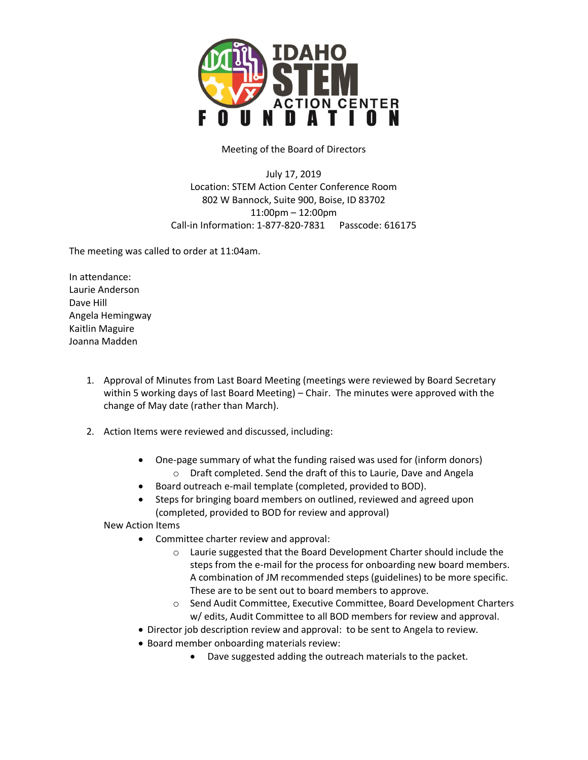

Meeting of the Board of Directors

July 17, 2019 Location: STEM Action Center Conference Room 802 W Bannock, Suite 900, Boise, ID 83702 11:00pm – 12:00pm Call-in Information: 1-877-820-7831 Passcode: 616175

The meeting was called to order at 11:04am.

In attendance: Laurie Anderson Dave Hill Angela Hemingway Kaitlin Maguire Joanna Madden

- 1. Approval of Minutes from Last Board Meeting (meetings were reviewed by Board Secretary within 5 working days of last Board Meeting) – Chair. The minutes were approved with the change of May date (rather than March).
- 2. Action Items were reviewed and discussed, including:
	- One-page summary of what the funding raised was used for (inform donors) o Draft completed. Send the draft of this to Laurie, Dave and Angela
	- Board outreach e-mail template (completed, provided to BOD).
	- Steps for bringing board members on outlined, reviewed and agreed upon (completed, provided to BOD for review and approval)

New Action Items

- Committee charter review and approval:
	- o Laurie suggested that the Board Development Charter should include the steps from the e-mail for the process for onboarding new board members. A combination of JM recommended steps (guidelines) to be more specific. These are to be sent out to board members to approve.
	- o Send Audit Committee, Executive Committee, Board Development Charters w/ edits, Audit Committee to all BOD members for review and approval.
- Director job description review and approval: to be sent to Angela to review.
- Board member onboarding materials review:
	- Dave suggested adding the outreach materials to the packet.